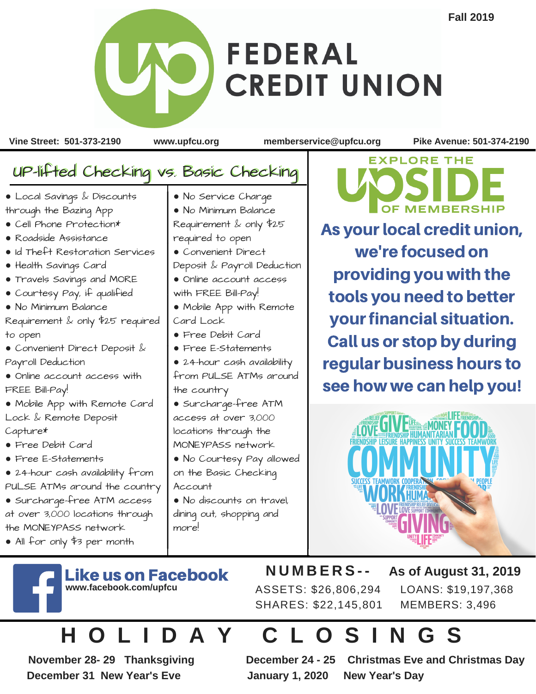## **FEDERAL CREDIT UNION**

**Vine Street: 501-373-2190 www.upfcu.org memberservice@upfcu.org Pike Avenue: 501-374-2190**

## UP-lifted Checking vs. Basic Checking ● Local Savings & Discounts through the Bazing App ● Cell Phone Protection\* ● Roadside Assistance ● Id Theft Restoration Services ● No Service Charge ● No Minimum Balance Requirement & only \$25 required to open ● Convenient Direct

- Health Savings Card
- Travels Savings and MORE
- Courtesy Pay, if qualified
- No Minimum Balance

Requirement & only \$25 required to open

- Convenient Direct Deposit & Payroll Deduction
- Online account access with FREE Bill-Pay!

● Mobile App with Remote Card Lock & Remote Deposit Capture\*

- Free Debit Card
- Free E-Statements

● 24-hour cash availability from PULSE ATMs around the country

- Surcharge-free ATM access at over 3,000 locations through the MONEYPASS network
- All for only \$3 per month

Deposit & Payroll Deduction ● Online account access with FREE Bill-Pay! ● Mobile App with Remote Card Lock ● Free Debit Card ● Free E-Statements ● 24-hour cash availability from PULSE ATMs around

the country ● Surcharge-free ATM access at over 3,000 locations through the MONEYPASS network

● No Courtesy Pay allowed on the Basic Checking Account

● No discounts on travel, dining out, shopping and more!

**EXPLORE THE OF MEMBERSHIP** 

As your local credit union, we're focused on providing you with the tools you need to better your financial situation. Call us or stop by during regular business hours to see how we can help you!



ke us on Facebook **www.facebook.com/upfcu**

ASSETS: \$26,806,294 SHARES: \$22,145,801

**N U M B E R S - - As of August 31, 2019** LOANS: \$19,197,368 MEMBERS: 3,496

## **H O L I D A Y C L O S I N G S**

**November 28- 29 Thanksgiving December 24 - 25 Christmas Eve and Christmas Day December 31 New Year's Eve January 1, 2020 New Year's Day**